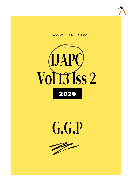





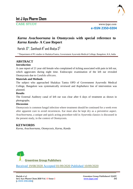

CASE STUDY www.ijapc.com **e-ISSN 2350-0204**

# *Karna Avachoornana* **in Otomycosis with special reference to**  *Karna Kandu***- A Case Report**

Harish. G $^{\text{!}*}$ . Santhosh K $^{\text{2}}$  and Ahalya S $^{\text{3}}$ 

1-3Department of PG studies in ShalakyaTantra, Government Ayurveda Medical College, Bangalore, KA, India

### **ABSTRACT Introduction**

A case report of 21 year old female who complained of itching associated with pain in left ear, which aggravates during night time. Endoscopic examination of the left ear revealed Otomycosis due to *Candida albicans.*

### **Materials and Methods**

The subject who approached Shalakya Tantra OPD of Government Ayurvedic Medical College, Bangalore was systematically reviewed and *Kaphahara* line of intervention was planned.

## **Results**

The External Auditory canal of left ear was clear after 6 days of treatment as shown in photographs.

## **Discussion**

Otomycosis is common fungal infection where treatment should be continued for a week even after apparent cure to avoid recurrences. Ear must also be kept dry as a preventive aspect. *Avachoornana,* a unique and quick acting procedure told in Ayurveda classics is discussed in the present study, in the context of Otomycosis.

## **KEYWORDS**

*Karna, Avachoornana, Otomycosis, Karna, Kandu*



Received 19/08/2020 Accepted 01/09/2020 Published 10/09/2020

\_\_\_\_\_\_\_\_\_\_\_\_\_\_\_\_\_\_\_\_\_\_\_\_\_\_\_\_\_\_\_\_\_\_\_\_\_\_\_\_\_\_\_\_\_\_\_\_\_\_\_\_\_\_\_\_\_\_\_\_\_\_\_\_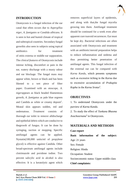

## **INTRODUCTION**

Otomycosis is a fungal infection of the ear canal that often occurs due to *Aspergillus niger*, *A. fumigates* or *Candida albicans*. It is seen in hot and humid climate of tropical and subtropical countries. Secondary fungal growthis also seen in subjects using topical antibiotics for treatment of otitis externa or middle ear suppuration. The *clinical features* of Otomycosis include intense itching, discomfort or pain in the ear, watery discharge with a musty odour and ear blockage. The fungal mass may appear white, brown or black and has been likened to a wet piece of filter paper. Examined with an otoscope, *A. niger*appears as black headed filamentous growth, *A. fumigatus* as pale blue orgreen and Candida as white or creamy deposit<sup>1</sup>. Meatal skin appears sodden, red and oedematous. *Treatment* consists of thorough ear toilet to remove alldischarge and epithelial debris which are conducive to thegrowth of fungus. It can be done by syringing, suction or mopping. Specific antifungal agents can be applied. Nystatin(100,000 units/ml of propylene glycol) is effective against Candida. Other broad-spectrum antifungal agents include clotrimazole and povidone iodine. Two percent salicylic acid in alcohol is also effective. It is a keratolytic agent which

removes superficial layers of epidermis, and along with that,the fungal mycelia growing into them. Antifungal treatment should be continued for a week even after apparent cure toavoid recurrences. Ear must be kept dry. Bacterial infections are often associated with Otomycosis and treatment with an antibiotic/steroid preparation helps to reduce inflammation and oedema and thus permitting better penetration of antifungal agents. This fungal infection of the external ear can be compared with *Karna Kandu*, which presents symptoms such as excessive itching in the *Karna* due to excessive accumulation of *Prakupita* Kapha in the *Karna Srotas<sup>2</sup>*.

## **OBJECTIVES**

 $\mathcal{L}_\mathcal{L}$  , and the contribution of the contribution of the contribution of the contribution of the contribution of the contribution of the contribution of the contribution of the contribution of the contribution of

1. To understand Otomycosis under the purview of *Karna Kandu*.

2. To study the effect of *Tankana Bhasma Avachoornana<sup>3</sup>* in Otomycosis.

## **MATERIALS AND METHODS**

**Case report Basic information of the subject:** Age: 21 years Sex: Female Religion: Hindu Occupation: Student Socioeconomic status: Upper middle class **Chief complaints:**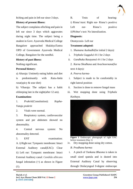

Itching and pain in left ear since 3 days.

#### **History of present illness:**

The subject complains ofitching and pain in left ear since 3 days which aggravates during night time. The subject being a student in Govt. Ayurveda Medical College Bangalore approached ShalakyaTantra OPD of Government Ayurveda Medical College, Bangalore for the needful.

#### **History of past illness:**

Nothing significant.

#### **Personal history:**

a) Aharaja: Untimely eating habits and diet

is predominantly with *Katu-Amla rasa*(spicy & sour diet)

b) Viharaja: The subject has a habit ofsleeping late in the night(after 12 am).

#### **Examination:**

1. *Prakriti*(Constitution): *Kapha-Vataja prakriti*

2. Vitals were normal.

3. Respiratory system, cardiovascular system and per abdomen showed no abnormality.

4. Central nervous system: No abnormality detected.

5. ENT examination: A. i) Right ear: Tympanic membrane: Intact External Auditory canal(EAC): Clear ii) Left ear: Tympanic membrane: Intact External Auditory canal: *Candida albicans* fungal infestation (+) as shown in Figure (1).

B. Tests of hearing: i) Rinne'stest: Right ear- Rinne's positive Left ear- Rinne's positive ii)Weber's test: No lateralization.

#### **Diagnosis:**

Otomycosis- Left ear

#### **Treatment adopted:**

- 1. *Shamana Aushadhi*(for initial 2 days)*:*
- i. *Triphala Guggulu*1-0-1 for 2 days
- ii. *Gandhaka Rasayana*1-0-1 for 2 days
- 2. *Karna Shodhana* and *Avachoornana*(for next 4 days)*:*
- *A. Poorva karma-*
- i. Subject is made to lie comfortably in right lateral position
- ii. Suction is done to remove fungal mass
- iii. Wet mopping done using *Triphala Kashaya.*



**Figure 1** Endoscopic photograph of right EAC before treatment (Day 1)

iv. Dry mopping done using dry cotton.

*B. Pradhana karma:*

 $\mathcal{L}_\mathcal{L}$  , and the contribution of the contribution of the contribution of the contribution of the contribution of the contribution of the contribution of the contribution of the contribution of the contribution of

i. A pinch of *Tankana Bhasma* is taken in small sized spatula and is dusted into External Auditory Canal by observing through Otolaryngeal 0-degree endoscope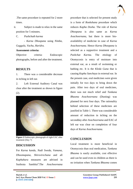

.The same procedure is repeated for 2 more times.

ii. Subject is made to relax in the same position for 5 minutes.

C. *Pashchath karma*

*- Karna Dhoopana* using *Nimba, Guggulu, Vacha, Haridra.*

#### **Assessment criteria:**

Objective criteria: Endoscopic photographs, before and after the treatment.

## **RESULTS**

1. There was a considerable decrease in itching in left ear.

2. Left External Auditory Canal was clear after the treatment as shown in figure (2).



**Figure 2** Endoscopic photograph of right EAC after treatment (Day 7)

## **DISCUSSION**

For *Karna kandu, Nadi Sweda, Vamana, Dhoomapana, Shirovirechana* and all *Kaphahara* measures are advised in Sushruta Samhita<sup>4</sup>.The Avachoornana

procedure that is selected for present study is a form of *Rookshana* procedure which reduces *Kapha Dosha*. The role of *Karna Dhoopana* is also same as *Karna Avachoornana,* but there is more bioavailability of medicine in case of *Karna Avachoornana*. Hence *Karna Dhoopana* is selected as a supportive treatment and a *Pashchat Karma.* The etiology of Otomycosis is entry of moisture into external ear, as a result of swimming or bathing etc. It is the *Kleda Guna* that is causing *Kapha Sanchaya* in external ear. In the present case, oral medicines were given initially for two days to bring down the pain. After two days of oral medicines, there was not much relief and *Tankana Bhasma Avachoornana* (Dusting) was planned for next four days. The rationality behind selection of these medicines are justified in Table 1. There was considerable amount of reduction in itching on the secondday after *Avachoornana* and EAC of left ear was clear on completion of four days of *Karna Avachoornana.*

## **CONCLUSION**

 $\mathcal{L}_\mathcal{L}$  , and the contribution of the contribution of the contribution of the contribution of the contribution of the contribution of the contribution of the contribution of the contribution of the contribution of

Local treatment is more beneficial in Otomycosis than oral medication, *Tankana Bhasma* is easily available, cost effective and can be used even in children as there is no irritation when *Tankana Bhasma* comes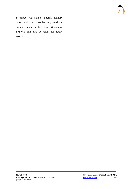

in contact with skin of external auditory canal, which is otherwise very sensitive. *Avachoornana* with other *Krimihara Dravyas* can also be taken for future research.

 $\mathcal{L}_\mathcal{L}$  , and the contribution of the contribution of the contribution of the contribution of the contribution of the contribution of the contribution of the contribution of the contribution of the contribution of